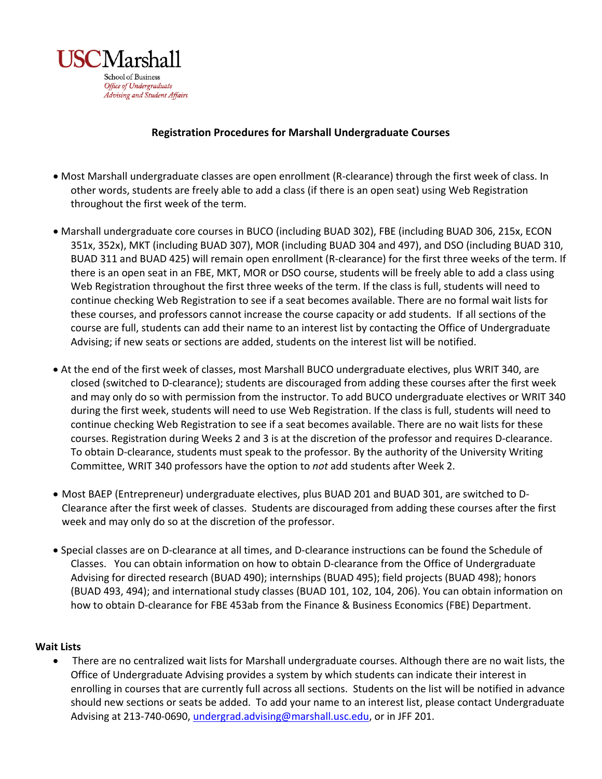

## **Registration Procedures for Marshall Undergraduate Courses**

- Most Marshall undergraduate classes are open enrollment (R-clearance) through the first week of class. In other words, students are freely able to add a class (if there is an open seat) using Web Registration throughout the first week of the term.
- Marshall undergraduate core courses in BUCO (including BUAD 302), FBE (including BUAD 306, 215x, ECON 351x, 352x), MKT (including BUAD 307), MOR (including BUAD 304 and 497), and DSO (including BUAD 310, BUAD 311 and BUAD 425) will remain open enrollment (R-clearance) for the first three weeks of the term. If there is an open seat in an FBE, MKT, MOR or DSO course, students will be freely able to add a class using Web Registration throughout the first three weeks of the term. If the class is full, students will need to continue checking Web Registration to see if a seat becomes available. There are no formal wait lists for these courses, and professors cannot increase the course capacity or add students. If all sections of the course are full, students can add their name to an interest list by contacting the Office of Undergraduate Advising; if new seats or sections are added, students on the interest list will be notified.
- At the end of the first week of classes, most Marshall BUCO undergraduate electives, plus WRIT 340, are closed (switched to D-clearance); students are discouraged from adding these courses after the first week and may only do so with permission from the instructor. To add BUCO undergraduate electives or WRIT 340 during the first week, students will need to use Web Registration. If the class is full, students will need to continue checking Web Registration to see if a seat becomes available. There are no wait lists for these courses. Registration during Weeks 2 and 3 is at the discretion of the professor and requires D-clearance. To obtain D-clearance, students must speak to the professor. By the authority of the University Writing Committee, WRIT 340 professors have the option to *not* add students after Week 2.
- Most BAEP (Entrepreneur) undergraduate electives, plus BUAD 201 and BUAD 301, are switched to D-Clearance after the first week of classes. Students are discouraged from adding these courses after the first week and may only do so at the discretion of the professor.
- Special classes are on D-clearance at all times, and D-clearance instructions can be found the Schedule of Classes. You can obtain information on how to obtain D-clearance from the Office of Undergraduate Advising for directed research (BUAD 490); internships (BUAD 495); field projects (BUAD 498); honors (BUAD 493, 494); and international study classes (BUAD 101, 102, 104, 206). You can obtain information on how to obtain D-clearance for FBE 453ab from the Finance & Business Economics (FBE) Department.

## **Wait Lists**

• There are no centralized wait lists for Marshall undergraduate courses. Although there are no wait lists, the Office of Undergraduate Advising provides a system by which students can indicate their interest in enrolling in courses that are currently full across all sections. Students on the list will be notified in advance should new sections or seats be added. To add your name to an interest list, please contact Undergraduate Advising at 213-740-0690, [undergrad.advising@marshall.usc.edu,](mailto:undergrad.advising@marshall.usc.edu) or in JFF 201.